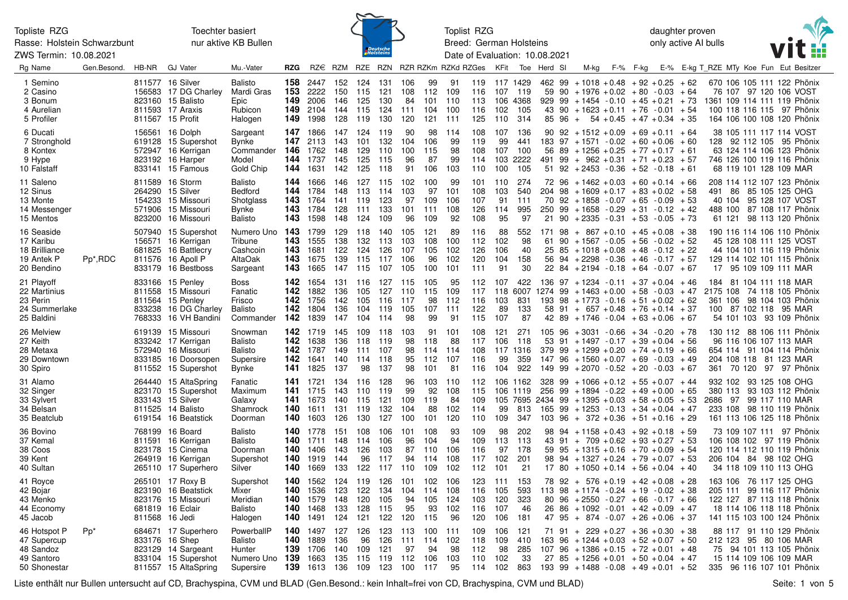Rasse: Holstein Schwarzbunt ZWS Termin: 10.08.2021

Toechter basiert nur aktive KB Bullen



Toplist RZG Breed: German Holsteins Date of Evaluation: 10.08.2021 daughter proven only active AI bulls



| Rg Name                                                                | Gen.Besond.          | HB-NR | <b>GJ Vater</b>                                                                                              | Mu.-Vater                                                  | <b>RZG</b>                      |                                                 |                                 |                                     |                                     |                                 |                                 | RZ€ RZM RZE RZN RZR RZKm RZKd RZGes |                                 | KFit                            |                                             | Toe Herd SI                                                     | M-kg                                                                                                                                                                                                                   | F-% F-kg |  |                        | E-% E-kg T_RZE MTy Koe Fun Eut Besitzer                                                                                                        |  |
|------------------------------------------------------------------------|----------------------|-------|--------------------------------------------------------------------------------------------------------------|------------------------------------------------------------|---------------------------------|-------------------------------------------------|---------------------------------|-------------------------------------|-------------------------------------|---------------------------------|---------------------------------|-------------------------------------|---------------------------------|---------------------------------|---------------------------------------------|-----------------------------------------------------------------|------------------------------------------------------------------------------------------------------------------------------------------------------------------------------------------------------------------------|----------|--|------------------------|------------------------------------------------------------------------------------------------------------------------------------------------|--|
| 1 Semino<br>2 Casino<br>3 Bonum<br>4 Aurelian<br>5 Profiler            |                      |       | 811577 16 Silver<br>156583 17 DG Charley<br>823160 15 Balisto<br>811593 17 Araxis<br>811567 15 Profit        | Balisto<br>Mardi Gras<br>Epic<br>Rubicon<br>Halogen        | 158<br>153<br>149<br>149<br>149 | 2447<br>2222<br>2006<br>2104<br>1998            | 152<br>150<br>146<br>144<br>128 | 124<br>115<br>125<br>115<br>119     | 131<br>121<br>130<br>124<br>130     | 106<br>108<br>84<br>111<br>120  | 99<br>112<br>101<br>104<br>121  | 91<br>109<br>110<br>100<br>111      | 119<br>116<br>113<br>116<br>125 | 107<br>102<br>110               | 117 1429<br>- 119<br>106 4368<br>105<br>314 | 59<br>85 96                                                     | $462$ 99 + 1018 + 0.48 + 92 + 0.25 + 62<br>$90 + 1976 + 0.02 + 80 - 0.03 + 64$<br>$929$ $99$ $+1454$ $-0.10$ $+45$ $+0.21$ $+73$<br>43 90 + 1623 + 0.11 + 76 - 0.01 + 54<br>$+ 54 + 0.45 + 47 + 0.34 + 35$             |          |  |                        | 670 106 105 111 122 Phönix<br>76 107 97 120 106 VOST<br>1361 109 114 111 119 Phönix<br>100 118 116 115 97 Phönix<br>164 106 100 108 120 Phönix |  |
| 6 Ducati<br>7 Stronghold<br>8 Kontex<br>9 Hype<br>10 Falstaff          |                      |       | 156561 16 Dolph<br>619128 15 Supershot<br>572947 16 Kerrigan<br>823192 16 Harper<br>833141 15 Famous         | Sargeant<br>Bynke<br>Commander<br>Model<br>Gold Chip       | 147<br>147<br>146<br>144<br>144 | 1866<br>2113<br>1762<br>1737<br>1631            | 147<br>143<br>148<br>145<br>142 | 124<br>101<br>129<br>125<br>125     | 119<br>132<br>110<br>115<br>118     | 90<br>104<br>100<br>96<br>91    | 98<br>106<br>115<br>87<br>106   | 114<br>99<br>98<br>99<br>103        | 108<br>119<br>108<br>114<br>110 | 107<br>99<br>107<br>100         | 136<br>441<br>100<br>103 2222<br>105        | 56                                                              | $90$ $92$ $+ 1512$ $+ 0.09$ $+ 69$ $+ 0.11$ $+ 64$<br>$183$ 97 + 1571 - 0.02 + 60 + 0.06 + 60<br>$89 + 1256 + 0.25 + 77 + 0.17 + 61$<br>491 99 + 962 + 0.31 + 71 + 0.23 + 57<br>$51$ 92 + 2453 - 0.36 + 52 - 0.18 + 61 |          |  |                        | 38 105 111 117 114 VOST<br>128 92 112 105 95 Phönix<br>63 124 114 106 123 Phönix<br>746 126 100 119 116 Phönix<br>68 119 101 128 109 MAR       |  |
| 11 Saleno<br>12 Sinus<br>13 Monte<br>14 Messenger<br>15 Mentos         |                      |       | 811589 16 Storm<br>264290 15 Silver<br>154233 15 Missouri<br>571906 15 Missouri<br>823200 16 Missouri        | Balisto<br>Bedford<br>Shotglass<br>Bynke<br>Balisto        | 144<br>144<br>143<br>143<br>143 | 1666<br>1784<br>1764<br>1784<br>1598            | 146<br>148<br>141<br>128<br>148 | 127 115<br>113<br>119<br>111<br>124 | 114<br>123<br>133<br>109            | 102<br>103<br>97<br>101<br>96   | 100<br>97<br>109<br>111<br>109  | 99<br>101<br>106<br>108<br>92       | 101<br>108<br>107<br>126<br>108 | 110<br>103<br>91<br>114<br>95   | 274<br>540<br>111<br>995<br>97              | 204<br>70                                                       | $72$ 96 + 1462 + 0.03 + 60 + 0.14 + 66<br>$98 + 1609 + 0.17 + 83 + 0.02 + 58$<br>$92 + 1858 - 0.07 + 65 - 0.09 + 53$<br>$250$ 99 + 1658 - 0.29 + 31 - 0.12 + 42<br>$21$ 90 + 2335 - 0.31 + 53 - 0.05 + 73              |          |  | 491<br>86              | 208 114 112 107 123 Phönix<br>85 105 125 OHG<br>40 104 95 128 107 VOST<br>488 100 87 108 117 Phönix<br>61 121 98 113 120 Phönix                |  |
| 16 Seaside<br>17 Karibu<br>18 Brilliance<br>19 Antek P<br>20 Bendino   | Pp <sup>*</sup> ,RDC |       | 507940 15 Supershot<br>156571 16 Kerrigan<br>681825 16 Battlecry<br>811576 16 Apoll P<br>833179 16 Bestboss  | Numero Uno<br>Tribune<br>Cashcoin<br>AltaOak<br>Sargeant   | 143<br>143<br>143<br>143<br>143 | 1799<br>1555<br>1681<br>1675<br>1665            | 129<br>138<br>122<br>139<br>147 | 118<br>132<br>124<br>115<br>115     | 140<br>113<br>126<br>117<br>107     | 105<br>103<br>107<br>106<br>105 | 121<br>108<br>105<br>96<br>100  | 89<br>100<br>102<br>102<br>101      | 116<br>112<br>126<br>120<br>111 | 88<br>102<br>106<br>104<br>91   | 552<br>98<br>40<br>158<br>30                | 61<br>25<br>56                                                  | $171$ 98 + 867 + 0.10 + 45 + 0.08 + 38<br>$90 + 1567 - 0.05 + 56 - 0.02 + 52$<br>$85 + 1018 + 0.08 + 48 - 0.12 + 22$<br>$94 + 2298 - 0.36 + 46 - 0.17 + 57$<br>$22$ 84 + 2194 - 0.18 + 64 - 0.07 + 67                  |          |  |                        | 190 116 114 106 110 Phönix<br>45 128 108 111 125 VOST<br>44 104 101 116 119 Phönix<br>129 114 102 101 115 Phönix<br>17 95 109 109 111 MAR      |  |
| 21 Playoff<br>22 Martinius<br>23 Perin<br>24 Summerlake<br>25 Baldini  |                      |       | 833166 15 Penley<br>811558 15 Missouri<br>811564 15 Penley<br>833238 16 DG Charley<br>768333 16 VH Bandini   | Boss<br>Fanatic<br>Frisco<br><b>Balisto</b><br>Commander   | 142<br>142<br>142<br>142<br>142 | 1654<br>1882<br>1756<br>1804<br>1839            | 131<br>136<br>142<br>136<br>147 | 116<br>105<br>105<br>104<br>104     | 127 115<br>127<br>116<br>119<br>114 | 110<br>117<br>105<br>98         | 105<br>115<br>98<br>107<br>99   | 95<br>109<br>112<br>111<br>91       | 112<br>117<br>116<br>122<br>115 | 107<br>103<br>89<br>107         | 422<br>831<br>133<br>87                     | 118 6007 1274 99 + 1463 + 0.00 + 58 - 0.03 + 47<br>193<br>58    | $136$ 97 + 1234 - 0.11 + 37 + 0.04 + 46<br>$98 + 1773 - 0.16 + 51 + 0.02 + 62$<br>$91 + 657 + 0.48 + 76 + 0.14 + 37$<br>$42$ 89 + 1746 - 0.04 + 63 + 0.06 + 67                                                         |          |  | 184                    | 81 104 111 118 MAR<br>2175 108 74 118 105 Phönix<br>361 106 98 104 103 Phönix<br>100 87 102 118 95 MAR<br>54 101 103 93 109 Phönix             |  |
| 26 Melview<br>27 Keith<br>28 Metaxa<br>29 Downtown<br>30 Spiro         |                      |       | 619139 15 Missouri<br>833242 17 Kerrigan<br>572940 16 Missouri<br>833185 16 Doorsopen<br>811552 15 Supershot | Snowman<br>Balisto<br>Balisto<br>Supersire<br>Bynke        | 142<br>142<br>142<br>141        | <b>142</b> 1719<br>1638<br>1787<br>1641<br>1825 | 145<br>136<br>149<br>140<br>137 | 109 118<br>118<br>111<br>114<br>98  | 119<br>107<br>118<br>137            | 103<br>98<br>98<br>95<br>98     | 91<br>118<br>114<br>112<br>101  | 101<br>88<br>-114<br>107<br>81      | 108<br>117<br>108<br>116<br>116 | 121<br>106<br>99<br>104         | 271<br>118<br>117 1316<br>359<br>922        | 53                                                              | $105$ 96 + 3031 - 0.66 + 34 - 0.20 + 78<br>$91 + 1497 - 0.17 + 39 + 0.04 + 56$<br>$379$ 99 + 1299 + 0.20 + 74 + 0.19 + 66<br>$147$ 96 + 1560 + 0.07 + 69 - 0.03 + 49<br>$149$ 99 + 2070 - 0.52 + 20 - 0.03 + 67        |          |  |                        | 130 112 88 106 111 Phönix<br>96 116 106 107 113 MAR<br>654 114 91 104 114 Phönix<br>204 108 118 81 123 MAR<br>361 70 120 97 97 Phönix          |  |
| 31 Alamo<br>32 Singer<br>33 Sylvert<br>34 Belsan<br>35 Beatclub        |                      |       | 264440 15 AltaSpring<br>823170 15 Supershot<br>833143 15 Silver<br>811525 14 Balisto<br>619154 16 Beatstick  | Fanatic<br>Maximum<br>Galaxy<br>Shamrock<br>Doorman        | 141<br>141<br>141<br>140<br>140 | 1721<br>1715<br>1673<br>1611<br>1603            | 134<br>143<br>140<br>131<br>126 | 116<br>110<br>115<br>119<br>130     | 128<br>119<br>121<br>132<br>127     | 96<br>99<br>109<br>104<br>100   | 103<br>92<br>119<br>88<br>101   | 110<br>108<br>84<br>102<br>120      | 112<br>115<br>109<br>114<br>110 | 99<br>109                       | 106 1162<br>106 1119<br>813<br>347          | 256<br>$105$ 7695 2434 99 + 1395 + 0.03 + 58 + 0.05 + 53<br>165 | $328$ 99 + 1066 + 0.12 + 55 + 0.07 + 44<br>$99 + 1894 - 0.22 + 49 + 0.00 + 65$<br>$99 + 1253 - 0.13 + 34 + 0.04 + 47$<br>$103$ 96 + 372 + 0.36 + 51 + 0.16 + 29                                                        |          |  | 2686 97 99 117 110 MAR | 932 102 93 125 108 OHG<br>380 113 93 103 112 Phönix<br>233 108 98 110 119 Phönix<br>161 113 106 125 118 Phönix                                 |  |
| 36 Bovino<br>37 Kemal<br>38 Coos<br>39 Kent<br>40 Sultan               |                      |       | 768199 16 Board<br>811591 16 Kerrigan<br>823178 15 Cinema<br>264919 16 Kerrigan<br>265110 17 Superhero       | Balisto<br>Balisto<br>Doorman<br>Supershot<br>Silver       | 140<br>140<br>140<br>140<br>140 | 1778<br>1711<br>1406<br>1919<br>1669            | 151<br>148<br>143<br>144<br>133 | 108<br>114<br>126<br>96<br>122      | 106<br>106<br>103<br>117<br>117     | 101<br>96<br>87<br>94<br>110    | 108<br>104<br>110<br>114<br>109 | 93<br>94<br>106<br>108<br>102       | 109<br>109<br>116<br>117<br>112 | 98<br>113<br>97<br>102<br>101   | 202<br>113<br>178<br>201<br>21              | 59<br>98                                                        | 98 94 + 1158 + 0.43 + 92 + 0.18 + 59<br>$43$ 91 + 709 + 0.62 + 93 + 0.27 + 53<br>$95 + 1315 + 0.16 + 70 + 0.09 + 54$<br>$94 + 1327 + 0.24 + 79 + 0.07 + 53$<br>$17$ 80 + 1050 + 0.14 + 56 + 0.04 + 40                  |          |  |                        | 73 109 107 111 97 Phönix<br>106 108 102 97 119 Phönix<br>120 114 112 110 119 Phönix<br>206 104 84 98 102 OHG<br>34 118 109 110 113 OHG         |  |
| 41 Royce<br>42 Bojar<br>43 Menko<br>44 Economy<br>45 Jacob             |                      |       | 265101 17 Roxy B<br>823190 16 Beatstick<br>823176 15 Missouri<br>681819 16 Eclair<br>811568 16 Jedi          | Supershot<br>Mixer<br>Meridian<br>Balisto<br>Halogen       | 140<br>140<br>140<br>140<br>140 | 1562<br>1536<br>1579<br>1468<br>1491            | 124<br>123<br>148<br>133<br>124 | 119<br>122<br>120<br>128<br>121     | 126<br>134<br>105<br>115<br>122     | 101<br>104<br>94<br>95<br>120   | 102<br>114<br>105<br>93<br>115  | 106<br>108<br>124<br>102<br>96      | 123<br>116<br>103<br>116<br>120 | 111<br>105<br>120<br>107<br>106 | 153<br>593<br>323<br>46<br>181              | 113<br>80<br>26                                                 | $78$ 92 + 576 + 0.19 + 42 + 0.08 + 28<br>$98 + 1174 - 0.24 + 19 - 0.02 + 38$<br>$96 + 2550 - 0.27 + 66 - 0.17 + 66$<br>$86 + 1092 - 0.01 + 42 + 0.09 + 47$<br>$47$ $95 + 874 - 0.07 + 26 + 0.06 + 37$                  |          |  |                        | 163 106 76 117 125 OHG<br>205 111 99 116 117 Phönix<br>122 127 87 113 118 Phönix<br>18 114 106 118 118 Phönix<br>141 115 103 100 124 Phönix    |  |
| 46 Hotspot P<br>47 Supercup<br>48 Sandoz<br>49 Santoro<br>50 Shonestar | $Pp^*$               |       | 684671 17 Superhero<br>833176 16 Shep<br>823129 14 Sargeant<br>833104 15 Supershot<br>811557 15 AltaSpring   | PowerballP<br>Balisto<br>Hunter<br>Numero Uno<br>Supersire | 140<br>140<br>139<br>139<br>139 | 1497<br>1889<br>1706<br>1663<br>1613            | 127<br>136<br>140<br>135<br>136 | 126<br>96<br>109<br>115<br>109      | 123<br>126<br>121<br>119<br>123     | 113<br>111<br>97<br>112<br>100  | 100<br>114<br>94<br>106<br>117  | 111<br>102<br>98<br>103<br>95       | 109<br>118<br>112<br>110<br>114 | 106<br>109<br>98<br>102<br>102  | 121<br>410<br>285<br>33<br>863              | 163<br>107<br>27                                                | $71$ 91 + 229 + 0.27 + 36 + 0.30 + 38<br>$96 + 1244 + 0.03 + 52 + 0.07 + 50$<br>$96 + 1386 + 0.15 + 72 + 0.01 + 48$<br>$85 + 1256 + 0.01 + 50 + 0.04 + 47$<br>$193$ 99 + 1488 - 0.08 + 49 + 0.01 + 52                  |          |  |                        | 88 117 91 110 129 Phönix<br>212 123 95 80 106 MAR<br>75 94 101 113 105 Phönix<br>15 114 109 106 109 MAR<br>335 96 116 107 101 Phönix           |  |

Liste enthält nur Bullen untersucht auf CD, Brachyspina, CVM und BLAD (Gen.Besond.: kein Inhalt=frei von CD, Brachyspina, CVM und BLAD) Seite: 1 von 5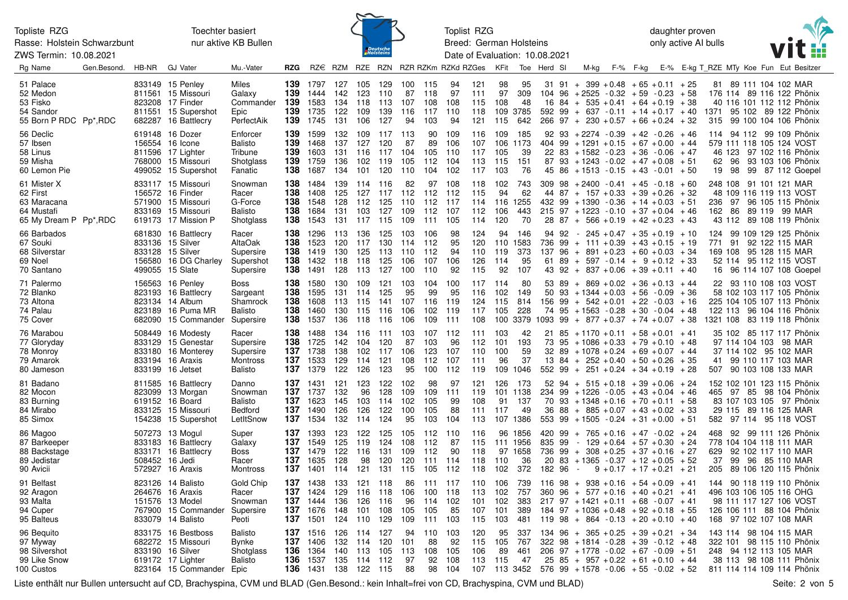Rasse: Holstein Schwarzbunt ZWS Termin: 10.08.2021

Toechter basiert nur aktive KB Bullen



Toplist RZG Breed: German Holsteins Date of Evaluation: 10.08.2021 daughter proven only active AI bulls



| Rg Name                                                                        | Gen.Besond. | HB-NR | <b>GJ Vater</b>                                                                                               | Mu.-Vater                                                   | <b>RZG</b>                      |                                                  |                                 |                                     |                                     | RZ€ RZM RZE RZN RZR RZKm RZKd RZGes |                                       |                                   |                                     | KFit                              |                                             | Toe Herd SI      | M-kg                                                                                                                                                                                                                          | F-% F-kg |                             |                         | E-% E-kg T_RZE MTy Koe Fun Eut Besitzer                                                                                                      |  |
|--------------------------------------------------------------------------------|-------------|-------|---------------------------------------------------------------------------------------------------------------|-------------------------------------------------------------|---------------------------------|--------------------------------------------------|---------------------------------|-------------------------------------|-------------------------------------|-------------------------------------|---------------------------------------|-----------------------------------|-------------------------------------|-----------------------------------|---------------------------------------------|------------------|-------------------------------------------------------------------------------------------------------------------------------------------------------------------------------------------------------------------------------|----------|-----------------------------|-------------------------|----------------------------------------------------------------------------------------------------------------------------------------------|--|
| 51 Palace<br>52 Medon<br>53 Fisko<br>54 Sandor<br>55 Born P RDC Pp*, RDC       |             |       | 833149 15 Penley<br>811561 15 Missouri<br>823208 17 Finder<br>811551 15 Supershot<br>682287 16 Battlecry      | Miles<br>Galaxy<br>Commander<br>Epic<br>PerfectAik          | 139<br>139<br>139<br>139<br>139 | 1797<br>1444<br>1583<br>1735<br>1745             | 127<br>142<br>134<br>122<br>131 | 105<br>123<br>118<br>109<br>106     | 129<br>110<br>113<br>139<br>127     | 100 115<br>107<br>116<br>94         | 87 118<br>108<br>117<br>103           | 94<br>97<br>108<br>110<br>94      | 121<br>111<br>115<br>118<br>121     | 98<br>97<br>108<br>115            | 95<br>309<br>48<br>109 3785<br>642          |                  | $31$ 91 + 399 + 0.48 + 65 + 0.11 + 25<br>$104$ 96 + 2525 - 0.32 + 59 - 0.23 + 58<br>$16$ 84 + 535 + 0.41 + 64 + 0.19 + 38<br>$592$ 99 + 637 - 0.11 + 14 + 0.17 + 40<br>$266$ 97 + 230 + 0.57 + 66 + 0.24 + 32                 |          |                             | 1371                    | 81 89 111 104 102 MAR<br>176 114 89 116 122 Phönix<br>40 116 101 112 112 Phönix<br>95 102 89 122 Phönix<br>315 99 100 104 106 Phönix         |  |
| 56 Declic<br>57 Ibsen<br>58 Linus<br>59 Misha<br>60 Lemon Pie                  |             |       | 619148 16 Dozer<br>156554 16 Icone<br>811596 17 Lighter<br>768000 15 Missouri<br>499052 15 Supershot          | Enforcer<br>Balisto<br>Tribune<br>Shotglass<br>Fanatic      | 139<br>139<br>139<br>139<br>138 | 1599<br>1468<br>1603<br>1759<br>1687             | 132<br>137<br>131<br>136<br>134 | 109<br>127<br>116<br>102<br>101     | 117<br>120<br>117<br>119<br>120     | 113<br>87<br>104<br>105<br>110      | 90<br>89<br>105<br>112<br>104         | 109<br>106<br>110<br>104<br>102   | 107<br>117<br>117                   | 116 109<br>105<br>113 115<br>103  | 185<br>106 1173<br>39<br>151<br>76          |                  | $92$ $93$ $+2274$ $-0.39$ $+42$ $-0.26$ $+46$<br>$404$ 99 + 1291 + 0.15 + 67 + 0.00 + 44<br>$22$ 83 + 1582 - 0.23 + 36 - 0.06 + 47<br>$87$ 93 + 1243 - 0.02 + 47 + 0.08 + 51<br>$45$ 86 + 1513 - 0.15 + 43 - 0.01 + 50        |          |                             | 62 96<br>19<br>98       | 114 94 112 99 109 Phönix<br>579 111 118 105 124 VOST<br>46 123 97 102 116 Phönix<br>93 103 106 Phönix<br>99 87 112 Goepel                    |  |
| 61 Mister X<br>62 First<br>63 Maracana<br>64 Mustafi<br>65 My Dream P Pp*, RDC |             |       | 833117 15 Missouri<br>156572 16 Finder<br>571900 15 Missouri<br>833169 15 Missouri<br>619173 17 Mission P     | Snowman<br>Racer<br>G-Force<br>Balisto<br>Shotglass         | 138<br>138<br>138<br>138<br>138 | 1484<br>1408<br>1548<br>1684<br>1543             | 139<br>125<br>128<br>131<br>131 | 114<br>127<br>112<br>103<br>117     | 116<br>117<br>125<br>127<br>115     | 82<br>112<br>109<br>109             | 97<br>112<br>110 112<br>- 112<br>111  | 108<br>112<br>- 117<br>107<br>105 | 118<br>115<br>112<br>114            | 102<br>94<br>106<br>120           | 743<br>62<br>114 116 1255<br>443<br>70      |                  | $309$ $98$ $+ 2400$ $- 0.41$ $+ 45$ $- 0.18$ $+ 60$<br>$44$ 87 + 157 + 0.33 + 39 + 0.26 + 32<br>432 99 + 1390 - 0.36 + 14 + 0.03 + 51<br>$215$ 97 + 1223 - 0.10 + 37 + 0.04 + 46<br>$28$ 87 + 566 + 0.19 + 42 + 0.23 + 43     |          |                             |                         | 248 108 91 101 121 MAR<br>48 109 116 119 113 VOST<br>236 97 96 105 115 Phönix<br>162 86 89 119 99 MAR<br>43 112 89 108 119 Phönix            |  |
| 66 Barbados<br>67 Souki<br>68 Silverstar<br>69 Noel<br>70 Santano              |             |       | 681830 16 Battlecry<br>833136 15 Silver<br>833128 15 Silver<br>156580 16 DG Charley<br>499055 15 Slate        | Racer<br>AltaOak<br>Supersire<br>Supershot<br>Supersire     | 138<br>138<br>138<br>138<br>138 | 1296<br>1523<br>1419<br>1432<br>1491             | 113<br>120<br>130<br>118        | 136<br>117<br>125<br>118<br>128 113 | 125<br>130<br>- 113<br>125<br>127   | 103<br>114 112<br>110<br>106<br>100 | 106<br>- 112<br>107<br>110            | 98<br>95<br>94<br>106<br>92       | 124<br>120<br>110<br>126<br>115     | 94<br>119<br>114<br>92            | 146<br>110 1583<br>373<br>95<br>107         | 94 92            | $-245 + 0.47 + 35 + 0.19 + 10$<br>736 99 + 111 + 0.39 + 43 + 0.15 + 19<br>$137$ 96 + 891 + 0.23 + 60 + 0.03 + 34<br>61 89 + 597 - 0.14 + 9 + 0.12 + 33<br>$43$ 92 + 837 + 0.06 + 39 + 0.11 + 40                               |          |                             | 771 91                  | 124 99 109 129 125 Phönix<br>92 122 115 MAR<br>169 108 95 128 115 MAR<br>52 114 95 112 115 VOST<br>16 96 114 107 108 Goepel                  |  |
| 71 Palermo<br>72 Blanko<br>73 Altona<br>74 Palau<br>75 Cover                   |             |       | 156563 16 Penley<br>823193 16 Battlecry<br>823134 14 Album<br>823189 16 Puma MR<br>682090 15 Commander        | <b>Boss</b><br>Sargeant<br>Shamrock<br>Balisto<br>Supersire | 138<br>138<br>138<br>138<br>138 | 1580<br>1595<br>1608<br>1460<br>1537             | 130<br>131<br>113<br>130<br>136 | 109<br>114<br>115<br>115<br>118     | 121<br>125<br>141<br>116<br>116     | 103<br>95<br>107<br>106<br>106      | 104<br>99<br>116<br>102<br>109        | 100<br>95<br>119<br>119<br>111    | 117 114<br>116<br>124<br>117<br>108 | 102<br>115<br>105                 | 80<br>149<br>814<br>228                     |                  | $53$ 89 + 869 + 0.02 + 36 + 0.13 + 44<br>$50$ 93 + 1344 + 0.03 + 56 - 0.09 + 36<br>$156$ 99 + 542 + 0.01 + 22 - 0.03 + 16<br>$74$ 95 + 1563 - 0.28 + 30 - 0.04 + 48<br>$100$ 3379 1093 99 + 877 + 0.37 + 74 + 0.07 + 38       |          |                             |                         | 22 93 110 108 103 VOST<br>58 102 103 117 105 Phönix<br>225 104 105 107 113 Phönix<br>122 113 96 104 116 Phönix<br>1321 108 83 119 118 Phönix |  |
| 76 Marabou<br>77 Gloryday<br>78 Monroy<br>79 Amarok<br>80 Jameson              |             |       | 508449 16 Modesty<br>833129 15 Genestar<br>833180 16 Monterey<br>833194 16 Araxis<br>833199 16 Jetset         | Racer<br>Supersire<br>Supersire<br>Montross<br>Balisto      | 138<br>138<br>137<br>137        | 1488<br>1725<br>1738<br><b>137</b> 1533<br>1379  | 134<br>142<br>138<br>129<br>122 | 116<br>104<br>102<br>114<br>126     | - 111<br>120<br>- 117<br>121<br>123 | 103<br>87<br>106<br>108<br>95       | 107<br>103<br>123<br>112<br>100       | 112<br>96<br>107<br>107<br>112    | 111 103<br>112<br>110<br>111<br>119 | 101<br>100<br>96                  | 42<br>193<br>59<br>37<br>109 1046           |                  | $21$ 85 + 1170 + 0.11 + 58 + 0.01 + 41<br>$73$ 95 + 1086 + 0.33 + 79 + 0.10 + 48<br>$32\ \ 89\ +1078\ +0.24\ +69\ +0.07\ +44$<br>$13\ \ 84\ +\ 252\ +0.40\ +50\ +0.26\ +35$<br>$552$ 99 + 251 + 0.24 + 34 + 0.19 + 28         |          |                             |                         | 35 102 85 117 117 Phönix<br>97 114 104 103 98 MAR<br>37 114 102 95 102 MAR<br>41 99 110 117 103 MAR<br>507 90 103 108 133 MAR                |  |
| 81 Badano<br>82 Mocon<br>83 Burning<br>84 Mirabo<br>85 Simox                   |             |       | 811585 16 Battlecry<br>823099 13 Morgan<br>619152 16 Board<br>833125 15 Missouri<br>154238 15 Supershot       | Danno<br>Snowman<br>Balisto<br>Bedford<br>LetItSnow         | 137<br>137<br>137<br>137        | 1431<br>1737<br>137 1623<br>1490<br>1534         | 121<br>132<br>145<br>126<br>132 | 123<br>96<br>103<br>126<br>114      | 122<br>128<br>114<br>122<br>124     | 102<br>109<br>102<br>100<br>95      | 98<br>109<br>105<br>105<br>103        | 97<br>111<br>99<br>88<br>104      | 121<br>119<br>108<br>111<br>113     | 126<br>91<br>-117                 | 173<br>101 1138<br>137<br>49<br>107 1386    |                  | $52$ 94 + 515 + 0.18 + 39 + 0.06 + 24<br>$234$ 99 + 1226 - 0.05 + 43 + 0.04 + 46<br>$70$ 93 + 1348 + 0.16 + 70 + 0.11 + 58<br>$36\ 88 + 885 + 0.07 + 43 + 0.02 + 33$<br>$553$ 99 + 1505 - 0.24 + 31 + 0.00 + 51               |          |                             |                         | 152 102 101 123 115 Phönix<br>465 97 85 98 104 Phönix<br>83 107 103 105 97 Phönix<br>29 115 89 116 125 MAR<br>582 97 114 95 118 VOST         |  |
| 86 Magoo<br>87 Barkeeper<br>88 Backstage<br>89 Jedistar<br>90 Avicii           |             |       | 507273 13 Mogul<br>833183 16 Battlecry<br>833171 16 Battlecry<br>508452 16 Jedi<br>572927 16 Araxis           | Super<br>Galaxy<br><b>Boss</b><br>Racer<br>Montross         | 137<br>137<br>137<br>137<br>137 | 1393<br>1549<br>1479<br>1635<br>1401             | 123<br>125<br>122<br>128<br>114 | 122<br>119<br>116<br>98<br>121      | 125<br>124<br>131<br>120<br>131     | 108<br>109<br>120<br>115            | 105 112<br>- 112<br>112<br>111<br>105 | 110<br>87<br>90<br>114<br>112     | 116<br>115<br>118<br>118<br>118     | 110<br>102                        | 96 1856<br>111 1956<br>97 1658<br>36<br>372 | 835 99<br>182 96 | $420$ 99 + 765 + 0.16 + 47 - 0.02 + 24<br>$-129 + 0.64 + 57 + 0.30 + 24$<br>736 99 + 308 + 0.25 + 37 + 0.16 + 27<br>$20$ 83 + 1365 - 0.37 + 12 + 0.05 + 52<br>$\sim$                                                          |          | $9 + 0.17 + 17 + 0.21 + 21$ | 468<br>629<br>37<br>205 | 92 99 111 126 Phönix<br>778 104 104 118 111 MAR<br>92 102 117 110 MAR<br>99 96 85 110 MAR<br>89 106 120 115 Phönix                           |  |
| 91 Belfast<br>92 Aragon<br>93 Malta<br>94 Cuper<br>95 Balteus                  |             |       | 823126 14 Balisto<br>264676 16 Araxis<br>151576 13 Model<br>767900 15 Commander<br>833079 14 Balisto          | Gold Chip<br>Racer<br>Snowman<br>Supersire<br>Peoti         | 137<br>137<br>137<br>137        | 1438<br>1424<br>1444<br>137 1676<br>1501         | 133<br>129<br>136<br>148<br>124 | 121<br>116<br>126<br>101<br>110     | 118<br>118<br>116<br>108<br>129     | 86<br>106<br>96<br>105<br>109       | 111<br>100<br>114<br>105<br>111       | 117<br>118<br>102<br>85<br>103    | 110<br>113<br>101<br>107<br>115     | - 106<br>102<br>102<br>101<br>103 | 739<br>757<br>383<br>389<br>481             |                  | $116$ 98 + 938 + 0.16 + 54 + 0.09 + 41<br>$360$ 96 + 577 + 0.16 + 40 + 0.21 + 41<br>$217$ 97 + 1421 + 0.11 + 68 - 0.07 + 41<br>$184$ 97 + 1036 + 0.48 + 92 + 0.18 + 55<br>$119$ 98 + 864 - 0.13 + 20 + 0.10 + 40              |          |                             |                         | 144 90 118 119 110 Phönix<br>496 103 106 105 116 OHG<br>98 111 117 127 106 VOST<br>126 106 111 88 104 Phönix<br>168 97 102 107 108 MAR       |  |
| 96 Beguito<br>97 Myway<br>98 Silvershot<br>99 Like Snow<br>100 Custos          |             |       | 833175 16 Bestboss<br>682272 15 Missouri<br>833190 16 Silver<br>619172 17 Lighter<br>823164 15 Commander Epic | Balisto<br>Bynke<br>Shotglass<br>Balisto                    | 137<br>137<br>136<br>136<br>136 | 1516<br>1406<br>1364<br>1537<br>1431 138 122 115 | 126<br>132<br>140               | 114<br>114<br>113<br>135 114 112    | 127<br>120<br>105                   | 94<br>101<br>113<br>97<br>88        | 110<br>88<br>108<br>92<br>98          | 103<br>92<br>105<br>108<br>104    | 120<br>115<br>106<br>113            | 95<br>105<br>89<br>115            | 337<br>767<br>461<br>47                     |                  | $134$ 96 + 365 + 0.25 + 39 + 0.21 + 34<br>$322$ 98 + 1814 - 0.28 + 39 - 0.12 + 48<br>$206$ 97 + 1778 - 0.02 + 67 - 0.09 + 51<br>$25$ 85 + 957 + 0.22 + 61 + 0.10 + 44<br>$107$ 113 3452 576 99 + 1578 - 0.06 + 55 - 0.02 + 52 |          |                             |                         | 143 114 98 104 115 MAR<br>322 101 98 115 110 Phönix<br>248 94 112 113 105 MAR<br>38 113 98 108 111 Phönix<br>811 114 114 109 114 Phönix      |  |

Liste enthält nur Bullen untersucht auf CD, Brachyspina, CVM und BLAD (Gen.Besond.: kein Inhalt=frei von CD, Brachyspina, CVM und BLAD)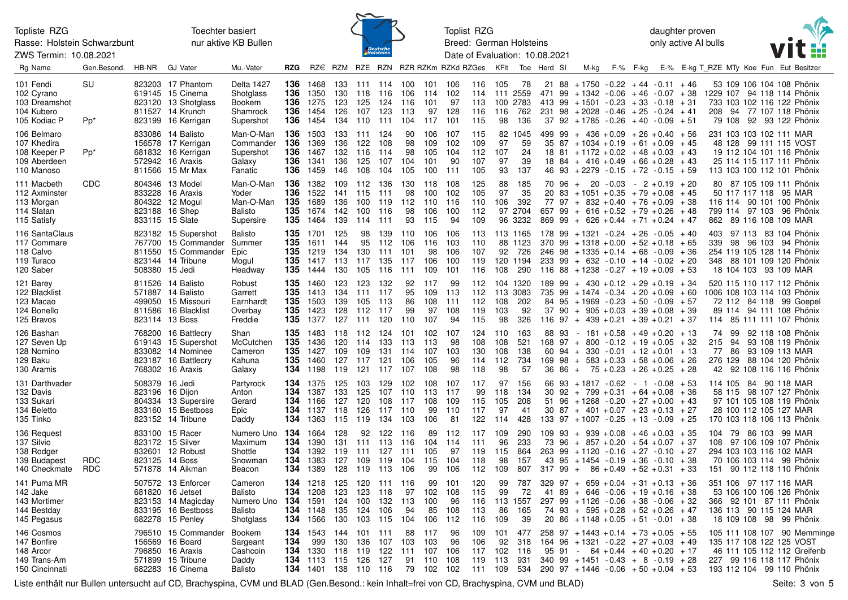Rasse: Holstein Schwarzbunt ZWS Termin: 10.08.2021

Toechter basiert nur aktive KB Bullen



Toplist RZG Breed: German Holsteins Date of Evaluation: 10.08.2021

daughter proven only active AI bulls



| Rg Name                                                                  | Gen.Besond.       | HB-NR          | <b>GJ Vater</b>                                                                                            | Mu.-Vater                                                  | <b>RZG</b>                       |                                                                    |                                     |                                      |                                 |                                     |                                     | RZ€ RZM RZE RZN RZR RZKm RZKd RZGes |                                 | KFit                                |                                               | Toe Herd SI               |    | M-kg                                                                                                                                                                                                 |                         | F-% F-kg |                                        |                            |                 | E-% E-kg T RZE MTy Koe Fun Eut Besitzer                                                                                                       |                             |
|--------------------------------------------------------------------------|-------------------|----------------|------------------------------------------------------------------------------------------------------------|------------------------------------------------------------|----------------------------------|--------------------------------------------------------------------|-------------------------------------|--------------------------------------|---------------------------------|-------------------------------------|-------------------------------------|-------------------------------------|---------------------------------|-------------------------------------|-----------------------------------------------|---------------------------|----|------------------------------------------------------------------------------------------------------------------------------------------------------------------------------------------------------|-------------------------|----------|----------------------------------------|----------------------------|-----------------|-----------------------------------------------------------------------------------------------------------------------------------------------|-----------------------------|
| 101 Fendi<br>102 Cyrano<br>103 Dreamshot<br>104 Kubero<br>105 Kodiac P   | SU<br>$Pp^*$      |                | 823203 17 Phantom<br>619145 15 Cinema<br>823120 13 Shotglass<br>811527 14 Krunch<br>823199 16 Kerrigan     | Delta 1427<br>Shotglass<br>Bookem<br>Shamrock<br>Supershot | 136<br>136<br>136<br>136<br>136  | 1468<br>1350<br>1275<br>1454<br>1454                               | 130 118<br>123<br>126               | 133 111 114<br>125<br>107<br>134 110 | 116<br>124<br>123<br>111        | 100<br>106<br>116<br>113<br>104     | 101<br>114<br>101<br>97<br>117      | 106<br>102<br>97<br>128<br>101      | 116<br>114<br>113<br>116<br>115 | 105<br>111 2559<br>100<br>116<br>98 | 78<br>2783<br>762<br>136                      | 21<br>413 99              | 88 | $+1750 - 0.22 + 44 - 0.11 + 46$<br>$471$ 99 + 1342 - 0.06 + 46 - 0.07 + 38<br>$+1501 - 0.23 + 33 - 0.18$<br>$231$ $98$ + 2028 - 0.46 + 25 - 0.24 + 41<br>$37$ $92$ $+ 1785$ $- 0.26$ $+ 40$ $- 0.09$ |                         |          | + 31<br>+ 51                           |                            |                 | 53 109 106 104 108 Phönix<br>1229 107 94 118 114 Phönix<br>733 103 102 116 122 Phönix<br>208 94 77 107 118 Phönix<br>79 108 92 93 122 Phönix  |                             |
| 106 Belmaro<br>107 Khedira<br>108 Keeper P<br>109 Aberdeen<br>110 Manoso | Pp*               |                | 833086 14 Balisto<br>156578 17 Kerrigan<br>681832 16 Kerrigan<br>572942 16 Araxis<br>811566 15 Mr Max      | Man-O-Man<br>Commander<br>Supershot<br>Galaxy<br>Fanatic   | 136<br>136<br>136<br>136<br>136  | 1503<br>1369<br>1467<br>1341<br>1459                               | 133 111<br>136<br>132<br>136<br>146 | 122<br>116<br>125<br>108             | 124<br>108<br>114<br>107<br>104 | 90<br>98<br>98<br>104<br>105        | 106<br>109<br>105<br>101<br>100     | 107<br>102<br>104<br>90<br>111      | 115<br>109<br>112<br>107<br>105 | 82<br>97<br>107<br>97<br>93         | 1045<br>59<br>24<br>39<br>137                 |                           |    | $499$ 99 + 436 + 0.09 + 26 + 0.40 + 56<br>$35\ \ 87\ +1034\ +0.19\ +61\ +0.09$<br>$18$ 81 + 1172 + 0.02 + 48 + 0.03<br>$18$ 84 + 416 + 0.49 + 66 + 0.28<br>$46$ $93$ $+2279$ $-0.15$ $+72$ $-0.15$   |                         |          | $+45$<br>$+43$<br>$+43$<br>+ 59        |                            |                 | 231 103 103 102 111 MAR<br>48 128 99 111 115 VOST<br>19 112 104 101 116 Phönix<br>25 114 115 117 111 Phönix<br>113 103 100 112 101 Phönix     |                             |
| 111 Macbeth<br>112 Axminster<br>113 Morgan<br>114 Slatan<br>115 Satisfy  | CDC               |                | 804346 13 Model<br>833228 16 Araxis<br>804322 12 Mogul<br>823188 16 Shep<br>833115 15 Slate                | Man-O-Man<br>Yoder<br>Man-O-Man<br>Balisto<br>Supersire    | 136<br>136<br>135<br>135<br>135  | 1382<br>1522<br>1689<br>1674<br>1464                               | 109<br>141<br>136<br>142<br>139     | 112<br>115<br>100<br>100<br>114      | 136<br>111<br>119<br>116<br>111 | 130<br>98<br>112<br>98<br>93        | 118<br>100<br>110<br>106<br>115     | 108<br>102<br>-116<br>100<br>94     | 125<br>105<br>110<br>112<br>109 | 88<br>97<br>106<br>97<br>96         | 185<br>35<br>392<br>2704<br>3232              |                           |    | $70.96 + 20 - 0.03 - 2 + 0.19$<br>$20$ 83 + 1051 + 0.35 + 79 + 0.08<br>$77$ 97 + 832 + 0.40 + 76 + 0.09 + 38<br>$657$ 99 + 616 + 0.52 + 79 + 0.26<br>$869$ 99 + 626 + 0.44 + 71 + 0.24               |                         |          | $+20$<br>$+45$<br>+ 48<br>+ 47         |                            |                 | 80 87 105 109 111 Phönix<br>50 117 117 118 95 MAR<br>116 114 90 101 100 Phönix<br>799 114 97 103 96 Phönix<br>862 89 116 108 109 MAR          |                             |
| 116 SantaClaus<br>117 Commare<br>118 Calvo<br>119 Turaco<br>120 Saber    |                   | 508380 15 Jedi | 823182 15 Supershot<br>767700 15 Commander<br>811550 15 Commander<br>823144 14 Tribune                     | Balisto<br>Summer<br>Epic<br>Mogul<br>Headway              | 135<br>135<br>135<br>135<br>135  | 1701<br>1611<br>1219<br>1417<br>1444                               | 125<br>144<br>134<br>113<br>130     | 98<br>95<br>130<br>117<br>105        | 139<br>112<br>111<br>135<br>116 | 110<br>106<br>101<br>117<br>111     | 106<br>116<br>98<br>106<br>109      | 106<br>103<br>106<br>100<br>101     | 113<br>110<br>107<br>119<br>116 | 92<br>108                           | 113 1165<br>88 1123<br>726<br>120 1194<br>290 |                           |    | $178$ 99 + 1321 - 0.24 + 26 - 0.05<br>$370$ 99 + 1318 + 0.00 + 52 + 0.18<br>$246$ 98 + 1335 + 0.14 + 68 - 0.09<br>$233$ 99 + 632 - 0.10 + 14 - 0.02 + 20<br>$116$ 88 + 1238 - 0.27 + 19 + 0.09       |                         |          | $+40$<br>+ 65<br>+ 36<br>$+53$         | 403<br>339                 |                 | 97 113 83 104 Phönix<br>98 96 103 94 Phönix<br>254 119 105 128 114 Phönix<br>348 88 101 109 120 Phönix<br>18 104 103 93 109 MAR               |                             |
| 121 Barey<br>122 Blacklist<br>123 Macao<br>124 Bonello<br>125 Bravos     |                   |                | 811526 14 Balisto<br>571887 14 Balisto<br>499050 15 Missouri<br>811586 16 Blacklist<br>823114 13 Boss      | Robust<br>Garrett<br>Earnhardt<br>Overbay<br>Freddie       | 135<br>135<br>135<br>135<br>135  | 1460<br>1413<br>1503<br>1423<br>1377                               | 123<br>134<br>139<br>128<br>127     | 123<br>111<br>105<br>112<br>111      | 132<br>117<br>113<br>117<br>120 | 92<br>95<br>86<br>99<br>110         | 117<br>109<br>108<br>97<br>107      | 99<br>- 113<br>111<br>108<br>94     | 112<br>112<br>112<br>119<br>115 | 113<br>108<br>103<br>98             | 104 1320<br>3083<br>202<br>92<br>326          | 735                       |    | $189$ 99 + 430 + 0.12 + 29 + 0.19 + 34<br>$99 + 1474 - 0.34 + 20 + 0.09$<br>$84$ $95$ $+1969$ $-0.23$ $+50$ $-0.09$<br>$37$ 90 + 905 + 0.03 + 39 + 0.08<br>$116$ 97 + 439 + 0.21 + 39 + 0.21         |                         |          | + 60<br>$+57$<br>$+39$<br>+ 37         |                            |                 | 520 115 110 117 112 Phönix<br>1006 108 103 114 103 Phönix<br>72 112 84 118 99 Goepel<br>89 114 94 111 108 Phönix<br>114 85 111 111 107 Phönix |                             |
| 126 Bashan<br>127 Seven Up<br>128 Nomino<br>129 Baku<br>130 Aramis       |                   |                | 768200 16 Battlecry<br>619143 15 Supershot<br>833082 14 Nominee<br>823187 16 Battlecry<br>768302 16 Araxis | Shan<br>McCutchen<br>Cameron<br>Kahuna<br>Galaxy           | 135.<br>135<br>135<br>135<br>134 | 1483<br>1436<br>1427<br>1460<br>1198                               | 118<br>120<br>109<br>127 117<br>119 | 112<br>114<br>109<br>121             | 124<br>133<br>131<br>121<br>117 | 101<br>113<br>114<br>106<br>107     | 102<br>113<br>107<br>105<br>108     | 107<br>98<br>103<br>96<br>98        | 124<br>108<br>130<br>114<br>118 | 110<br>108<br>108<br>112<br>98      | 163<br>521<br>138<br>734<br>-57               | 88 93                     |    | $-181 + 0.58 + 49 + 0.20$<br>$168$ 97 + 800 - 0.12 + 19 + 0.05<br>$60$ 94 + 330 - 0.01 + 12 + 0.01<br>$169$ $98 + 583 + 0.33 + 58 + 0.06$<br>$36\ 86 + 75 + 0.23 + 26 + 0.25$                        |                         |          | + 13<br>+ 32<br>$+13$<br>+ 26<br>$+28$ | 74<br>215<br>77<br>276 129 | -99<br>94<br>86 | 92 118 108 Phönix<br>93 108 119 Phönix<br>93 109 113 MAR<br>88 104 120 Phönix<br>42 92 108 116 116 Phönix                                     |                             |
| 131 Darthvader<br>132 Davis<br>133 Sukari<br>134 Beletto<br>135 Tinko    |                   | 508379 16 Jedi | 823196 16 Dijon<br>804334 13 Supersire<br>833160 15 Bestboss<br>823152 14 Tribune                          | Partyrock<br>Anton<br>Gerard<br>Epic<br>Daddy              | 134<br>134<br>134                | 134 1375<br>1387<br>1166<br><b>134</b> 1137<br>1363                | 125<br>133<br>127<br>118<br>115 119 | 103<br>125<br>120<br>126             | 129<br>107<br>108<br>117        | 102<br>110<br>117<br>110<br>134 103 | 108<br>113<br>108<br>99<br>106      | 107<br>117<br>109<br>110<br>81      | 117<br>99<br>115<br>117<br>122  | 97<br>118<br>105<br>97<br>114       | 156<br>134<br>208<br>41<br>428                |                           |    | 66 93 + 1817 - 0.62 - 1 - 0.08 + 53<br>$30$ 92 + 799 + 0.31 + 64 + 0.08<br>$51$ 96 + 1268 - 0.20 + 27 + 0.00<br>$30\ \ 87\ +\ 401\ +0.07\ +23\ +0.13$<br>$133$ $97$ $+1007$ $-0.25$ $+13$ $-0.09$    |                         |          | $+36$<br>+ 43<br>+ 27<br>$+25$         |                            |                 | 114 105 84 90 118 MAR<br>58 115 98 107 127 Phönix<br>97 101 105 108 119 Phönix<br>28 100 112 105 127 MAR<br>170 103 118 106 113 Phönix        |                             |
| 136 Request<br>137 Silvio<br>138 Rodger<br>139 Budapest<br>140 Checkmate | RDC<br><b>RDC</b> |                | 833100 15 Racer<br>823172 15 Silver<br>832601 12 Robust<br>823125 14 Boss<br>571878 14 Aikman              | Numero Uno<br>Maximum<br>Shottle<br>Snowman<br>Beacon      | 134<br>134<br>134<br>134<br>134  | 1664<br>1390<br>1392<br>1383<br>1389                               | 128<br>131<br>119<br>127<br>128     | 92<br>111<br>111<br>109<br>119       | 122<br>113<br>127<br>119<br>113 | 116<br>116<br>111<br>104<br>106     | 89<br>104<br>105<br>115<br>99       | 112<br>114<br>97<br>104<br>106      | 117<br>111<br>119<br>118<br>112 | 109<br>96<br>115<br>98<br>109       | 290<br>233<br>864<br>157<br>807               | 109 93<br>73<br>$31799 +$ |    | $+$ 939 $+0.08$ $+46$ $+0.03$<br>$96 + 857 + 0.20 + 54 + 0.07 + 37$<br>$263$ 99 + 1120 - 0.16 + 27 - 0.10 + 27<br>$43$ $95$ $+1454$ $-0.19$ $+36$ $-0.10$ $+38$                                      | $86 + 0.49 + 52 + 0.31$ |          | + 35<br>+ 33                           |                            |                 | 104 79 86 103 99 MAR<br>108 97 106 109 107 Phönix<br>294 103 103 116 102 MAR<br>70 106 103 114 99 Phönix<br>151 90 112 118 110 Phönix         |                             |
| 141 Puma MR<br>142 Jake<br>143 Mortimer<br>144 Bestday<br>145 Pegasus    |                   |                | 507572 13 Enforcer<br>681820 16 Jetset<br>823153 14 Magicday<br>833195 16 Bestboss<br>682278 15 Penley     | Cameron<br>Balisto<br>Numero Uno<br>Balisto<br>Shotglass   | 134<br>134<br>134<br>134<br>134  | 1218<br>1208<br>1591<br>1148<br>1566                               | 125<br>123<br>124<br>135<br>130     | 120<br>123<br>100<br>124<br>103      | 111<br>118<br>132<br>106<br>115 | 116<br>97<br>113<br>94<br>104       | 99<br>102<br>100<br>85<br>106       | 101<br>108<br>96<br>108<br>112      | 120<br>115<br>116<br>113<br>116 | 99<br>99<br>86<br>109               | 787<br>72<br>113 1557<br>165<br>39            | 41                        |    | $329$ 97 + 659 + 0.04 + 31 + 0.13 + 36<br>$89 + 646 - 0.06 + 19 + 0.16$<br>$297$ $99$ $+1126$ $-0.06$ $+38$ $-0.06$<br>$74$ 93 + 595 + 0.28 + 52 + 0.26<br>$20\ 86 + 1148 + 0.05 + 51 - 0.01$        |                         |          | + 38<br>+ 32<br>+ 47<br>+ 38           |                            |                 | 351 106 97 117 116 MAR<br>53 106 100 106 126 Phönix<br>366 92 101 87 111 Phönix<br>136 113 90 115 124 MAR<br>18 109 108 98 99 Phönix          |                             |
| 146 Cosmos<br>147 Bonfire<br>148 Arcor<br>149 Trans-Am<br>150 Cincinnati |                   |                | 796510 15 Commander<br>156569 16 Board<br>796850 16 Araxis<br>571899 15 Tribune<br>682283 16 Cinema        | Bookem<br>Sargeant<br>Cashcoin<br>Daddy<br>Balisto         | 134<br>134<br>134                | 1543<br>999<br>1330<br><b>134</b> 1113 115<br>134 1401 138 110 116 | 144<br>130<br>118                   | 101<br>136<br>119<br>126             | 111<br>107<br>122<br>127        | 88<br>103<br>111<br>91<br>79        | 117<br>103<br>107<br>110<br>102 102 | 96<br>96<br>106<br>108              | 109<br>106<br>117<br>119<br>111 | 101<br>92<br>102<br>113<br>109      | 477<br>318<br>116<br>931<br>534               | 164<br>95 91              | 96 | $258$ 97 + 1443 + 0.14 + 73 + 0.05<br>$+1321 - 0.22 + 27 + 0.03$<br>$-64 + 0.44 + 40 + 0.20$<br>$340$ 99 + 1451 - 0.43 + 8 - 0.19 + 28<br>$290$ 97 + 1446 - 0.06 + 50 + 0.04 + 53                    |                         |          | $+55$<br>+ 49<br>+ 17                  |                            |                 | 135 117 108 122 125 VOST<br>46 111 105 112 112 Greifenb<br>227 99 116 118 117 Phönix<br>193 112 104 99 110 Phönix                             | 105 111 108 107 90 Memminge |

Liste enthält nur Bullen untersucht auf CD, Brachyspina, CVM und BLAD (Gen.Besond.: kein Inhalt=frei von CD, Brachyspina, CVM und BLAD) Seite: 3 von 5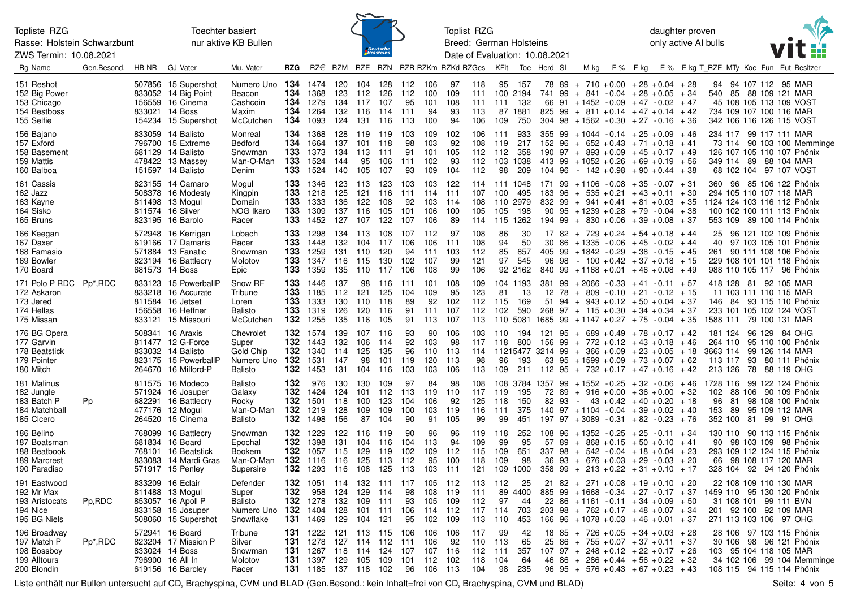Rasse: Holstein Schwarzbunt

ZWS Termin: 10.08.2021

Toechter basiert nur aktive KB Bullen



Toplist RZG Breed: German Holsteins Date of Evaluation: 10.08.2021 daughter proven only active AI bulls



| Rg Name                                                                    | Gen.Besond.          | HB-NR | <b>GJ Vater</b>                                                                                           | Mu.-Vater                                                       | <b>RZG</b>                      |                                                      |                                 |                                 |                                     |                                    |                                        | RZ€ RZM RZE RZN RZR RZKm RZKd RZGes |                                 | KFit                           | Toe                                             | Herd SI                                                                                           |                      | M-kg                                                                                                                                                                                                             | F-% F-kg |                              |           |          |  | E-% E-kg T RZE MTy Koe Fun Eut Besitzer                                                                                                       |
|----------------------------------------------------------------------------|----------------------|-------|-----------------------------------------------------------------------------------------------------------|-----------------------------------------------------------------|---------------------------------|------------------------------------------------------|---------------------------------|---------------------------------|-------------------------------------|------------------------------------|----------------------------------------|-------------------------------------|---------------------------------|--------------------------------|-------------------------------------------------|---------------------------------------------------------------------------------------------------|----------------------|------------------------------------------------------------------------------------------------------------------------------------------------------------------------------------------------------------------|----------|------------------------------|-----------|----------|--|-----------------------------------------------------------------------------------------------------------------------------------------------|
| 151 Reshot<br>152 Big Power<br>153 Chicago<br>154 Bestboss<br>155 Selfie   |                      |       | 507856 15 Supershot<br>833052 14 Big Point<br>156559 16 Cinema<br>833021 14 Boss<br>154234 15 Supershot   | Numero Uno<br>Beacon<br>Cashcoin<br>Maxim<br>McCutchen          | 134<br>134<br>134<br>134<br>134 | 1474<br>1368<br>1279<br>1264<br>1093                 | 120<br>123<br>134<br>132<br>124 | 104<br>112<br>117<br>116<br>131 | 128<br>126<br>107<br>114<br>116     | 112 106<br>112<br>95<br>111<br>113 | 100<br>101<br>94<br>100                | 97<br>109<br>108<br>93<br>94        | 118<br>111<br>111<br>113<br>106 | 109                            | 95 157<br>100 2194<br>111 132<br>87 1881<br>750 | 741<br>825                                                                                        | 99                   | $78$ 89 + 710 + 0.00 + 28 + 0.04 + 28<br>$+ 841 - 0.04 + 28 + 0.05 + 34$<br>66 91 + 1452 - 0.09 + 47 - 0.02 + 47<br>$99 + 811 + 0.14 + 47 + 0.14 + 42$<br>$304$ $98$ $+1562$ $-0.30$ $+27$ $-0.16$ $+36$         |          |                              |           |          |  | 94 94 107 112 95 MAR<br>540 85 88 109 121 MAR<br>45 108 105 113 109 VOST<br>734 109 107 100 116 MAR<br>342 106 116 126 115 VOST               |
| 156 Bajano<br>157 Exford<br>158 Basement<br>159 Mattis<br>160 Balboa       |                      |       | 833059 14 Balisto<br>796700 15 Extreme<br>681129 14 Balisto<br>478422 13 Massey<br>151597 14 Balisto      | Monreal<br><b>Bedford</b><br>Snowman<br>Man-O-Man<br>Denim      | 134<br>134<br>133<br>133<br>133 | 1368<br>1664<br>1373<br>1524<br>1524                 | 128<br>137<br>134<br>144<br>140 | 119<br>101<br>113<br>95<br>105  | 119<br>118<br>111<br>106<br>107     | 103<br>98<br>91<br>111 102<br>93   | 109<br>103<br>101<br>109               | 102<br>92<br>105<br>93<br>104       | 106<br>108<br>112<br>112<br>112 | 111<br>119<br>112<br>98        | 933<br>217<br>358<br>103 1038<br>209            | 152 96                                                                                            |                      | $355$ 99 + 1044 - 0.14 + 25 + 0.09 + 46<br>$+ 652 + 0.43 + 71 + 0.18 + 41$<br>$190$ $97 + 893 + 0.09 + 45 + 0.17 + 49$<br>413 99 + 1052 + 0.26 + 69 + 0.19 + 56<br>$104$ 96 - $142 + 0.98 + 90 + 0.44 + 38$      |          |                              |           |          |  | 234 117 99 117 111 MAR<br>73 114 90 103 100 Memminge<br>126 107 105 110 107 Phönix<br>349 114 89 88 104 MAR<br>68 102 104 97 107 VOST         |
| 161 Cassis<br>162 Jazz<br>163 Kayne<br>164 Sisko<br>165 Bruns              |                      |       | 823155 14 Camaro<br>508378 16 Modesty<br>811498 13 Mogul<br>811574 16 Silver<br>823195 16 Barolo          | Mogul<br>Kingpin<br>Domain<br>NOG Ikaro<br>Racer                | 133<br>133<br>133<br>133<br>133 | 1346<br>1218<br>1333<br>1309<br>1452                 | 123<br>125<br>136<br>137<br>127 | 113<br>121<br>122<br>116<br>107 | 123<br>116<br>108<br>105<br>122     | 103<br>111<br>92<br>101<br>107 106 | 103<br>114<br>103<br>106               | 122<br>-111<br>-114<br>100<br>89    | 114<br>107<br>108<br>105<br>114 | 100<br>105                     | 111 1048<br>495<br>110 2979<br>198<br>115 1262  |                                                                                                   |                      | $171$ 99 + 1106 - 0.08 + 35 - 0.07 + 31<br>$183$ 96 + 535 + 0.21 + 43 + 0.11 + 30<br>$832$ 99 + 941 + 0.41 + 81 + 0.03 + 35<br>$90\,95 + 1239 + 0.28 + 79 - 0.04 + 38$<br>$194$ 99 + 830 + 0.06 + 39 + 0.08 + 37 |          |                              |           |          |  | 360 96 85 106 122 Phönix<br>294 105 110 107 118 MAR<br>1124 124 103 116 112 Phönix<br>100 102 100 111 113 Phönix<br>553 109 89 100 114 Phönix |
| 166 Keegan<br>167 Daxer<br>168 Famasio<br>169 Bowler<br>170 Board          |                      |       | 572948 16 Kerrigan<br>619166 17 Damaris<br>571884 13 Fanatic<br>823194 16 Battlecry<br>681573 14 Boss     | Lobach<br>Racer<br>Snowman<br>Molotov<br>Epic                   | 133<br>133<br>133<br>133<br>133 | 1298<br>1448<br>1259<br>1347<br>1359                 | 134<br>132<br>131<br>116<br>135 | 113<br>104<br>110<br>115<br>110 | 108<br>117<br>120<br>130<br>117     | 107 112<br>106<br>94<br>102<br>106 | 106<br>111<br>107<br>108               | 97<br>111<br>103<br>99<br>99        | 108<br>108<br>112<br>121<br>106 | 86<br>94<br>85<br>97           | 30<br>50<br>857<br>545<br>92 2162               | 96 98                                                                                             |                      | $17$ 82 + 729 + 0.24 + 54 + 0.18 + 44<br>$30\,86 + 1335 - 0.06 + 45 - 0.02 + 44$<br>$405$ 99 + 1842 - 0.29 + 38 - 0.15 + 45<br>$-100 + 0.42 + 37 + 0.18 + 15$<br>$840$ 99 + 1168 + 0.01 + 46 + 0.08 + 49         |          |                              | 40        |          |  | 25 96 121 102 109 Phönix<br>97 103 105 101 Phönix<br>261 90 111 108 106 Phönix<br>229 108 101 101 118 Phönix<br>988 110 105 117 96 Phönix     |
| 171 Polo P RDC<br>172 Askaron<br>173 Jered<br>174 Hellas<br>175 Missan     | Pp <sup>*</sup> ,RDC |       | 833123 15 PowerballP<br>833218 16 Accurate<br>811584 16 Jetset<br>156558 16 Heffner<br>833121 15 Missouri | Snow RF<br>Tribune<br>Loren<br><b>Balisto</b><br>McCutchen      | 133<br>133<br>133<br>133<br>132 | 1446<br>1185<br>1333<br>1319<br>1255                 | 137<br>112<br>130<br>126<br>135 | 98<br>121<br>110<br>120<br>116  | 116<br>125<br>118<br>116<br>105     | 111<br>104<br>89<br>91<br>91       | 101<br>109<br>92<br>111<br>113         | 108<br>95<br>102<br>107<br>107      | 109<br>123<br>112<br>112<br>113 | 81<br>115<br>102<br>110        | 104 1193<br>13<br>169<br>590<br>5081            | 12 78<br>$1685$ 99 + 1147 + 0.27 + 75 - 0.04 + 35                                                 |                      | $381$ 99 + 2066 - 0.33 + 41 - 0.11 + 57<br>$+$ 809 - 0.10 $+$ 21 - 0.12 $+$ 15<br>$51$ 94 + 943 + 0.12 + 50 + 0.04 + 37<br>$268$ 97 + 115 + 0.30 + 34 + 0.34 + 37                                                |          |                              |           |          |  | 418 128 81 92 105 MAR<br>11 103 111 110 115 MAR<br>146 84 93 115 110 Phönix<br>233 101 105 102 124 VOST<br>1588 111 79 100 131 MAR            |
| 176 BG Opera<br>177 Garvin<br>178 Beatstick<br>179 Pointer<br>180 Mitch    |                      |       | 508341 16 Araxis<br>811477 12 G-Force<br>833032 14 Balisto<br>823175 15 PowerballP<br>264670 16 Milford-P | Chevrolet<br>Super<br>Gold Chip<br>Numero Uno<br><b>Balisto</b> | 132<br>132<br>132<br>132<br>132 | 1574<br>1443<br>1340<br>1531<br>1453                 | 139<br>132<br>114<br>147<br>131 | 107<br>106<br>125<br>98<br>104  | 116<br>114<br>135<br>101<br>116     | 93<br>92<br>96<br>119<br>103       | 90<br>103<br>110<br>120<br>103         | 106<br>98<br>113<br>113<br>106      | 103<br>117<br>114<br>98<br>113  | 118<br>96<br>109               | 110 194<br>- 800<br>193<br>211                  | 121<br>$11215477$ 3214 99 + 366 + 0.09 + 23 + 0.05 + 18<br>$112$ 95 + 732 + 0.17 + 47 + 0.16 + 42 | 95                   | $+ 689 + 0.49 + 78 + 0.17 + 42$<br>$156$ 99 + 772 + 0.12 + 43 + 0.18 + 46<br>63 95 + 1599 + 0.09 + 73 + 0.07 + 62                                                                                                |          |                              | 113 117   |          |  | 181 124 96 129 84 OHG<br>264 110 95 110 100 Phönix<br>3663 114 99 126 114 MAR<br>93 80 111 Phönix<br>213 126 78 88 119 OHG                    |
| 181 Malinus<br>182 Jungle<br>183 Batch P<br>184 Matchball<br>185 Cicero    | Pp                   |       | 811575 16 Modeco<br>571924 16 Josuper<br>682291 16 Battlecry<br>477176 12 Mogul<br>264520 15 Cinema       | Balisto<br>Galaxy<br>Rocky<br>Man-O-Man<br><b>Balisto</b>       | 132<br>132<br>132<br>132<br>132 | 976<br>1424<br>1501<br>1219<br>1498                  | 130<br>124<br>118<br>128<br>156 | 130<br>101<br>100<br>109<br>87  | 109<br>112 113<br>123<br>109<br>104 | 97<br>104<br>100<br>90             | 84<br>119<br>106<br>103<br>91          | 98<br>110<br>92<br>119<br>105       | 108<br>117<br>125<br>116<br>99  | 119<br>118<br>111<br>99        | - 195<br>150<br>375<br>451                      | $108$ 3784 1357 99 + 1552 - 0.25 + 32 - 0.06 + 46<br>82                                           | 93<br>$\sim 10^{-1}$ | $72$ 89 + 916 + 0.00 + 36 + 0.00 + 32<br>$140$ 97 + 1104 - 0.04 + 39 + 0.02 + 40<br>197 97 + 3089 - 0.31 + 82 - 0.23 + 76                                                                                        |          | $43 + 0.42 + 40 + 0.20 + 18$ | 96<br>153 | 81<br>89 |  | 1728 116 99 122 124 Phönix<br>102 88 106 90 109 Phönix<br>98 108 100 Phönix<br>95 109 112 MAR<br>352 100 81 99 91 OHG                         |
| 186 Belino<br>187 Boatsman<br>188 Beatbook<br>189 Marcrest<br>190 Paradiso |                      |       | 768099 16 Battlecry<br>681834 16 Board<br>768101 16 Beatstick<br>833083 14 Mardi Gras<br>571917 15 Penley | Snowman<br>Epochal<br><b>Bookem</b><br>Man-O-Man<br>Supersire   | 132<br>132<br>132<br>132<br>132 | 1229<br>1398<br>1057<br>1116<br>1293                 | 122<br>131<br>115<br>116<br>116 | 116<br>104<br>129<br>125<br>108 | 119<br>116<br>119<br>113<br>125     | 90<br>104<br>102<br>112<br>113     | 96<br>113<br>109<br>95<br>103          | 96<br>94<br>112<br>100<br>111       | 119<br>109<br>115<br>118<br>121 | 118<br>99<br>109<br>109<br>109 | 252<br>95<br>651<br>98<br>1000                  | 57<br>337 98<br>36<br>358                                                                         | 89<br>99             | $108$ 96 + 1352 - 0.25 + 25 - 0.11 + 34<br>$+$ 868 + 0.15 + 50 + 0.10 + 41<br>$+ 542 - 0.04 + 18 + 0.04 + 23$<br>$93 + 676 + 0.03 + 29 - 0.03 + 20$<br>$+$ 213 + 0.22 + 31 + 0.10 + 17                           |          |                              |           |          |  | 130 110 90 113 115 Phönix<br>90 98 103 109 98 Phönix<br>293 109 112 124 115 Phönix<br>66 98 108 117 120 MAR<br>328 104 92 94 120 Phönix       |
| 191 Eastwood<br>192 Mr Max<br>193 Aristocats<br>194 Nice<br>195 BG Niels   | Pp,RDC               |       | 833209 16 Eclair<br>811488 13 Mogul<br>853057 16 Apoll P<br>833158 15 Josuper<br>508060 15 Supershot      | Defender<br>Super<br>Balisto<br>Numero Uno<br>Snowflake         | 132<br>132<br>132<br>132<br>131 | 1051<br>958<br>1278<br>1404<br>1469                  | 114<br>124<br>132<br>128<br>129 | 132<br>129<br>109<br>101<br>104 | 111<br>114<br>111<br>111<br>121     | 117<br>98<br>93<br>106<br>95       | 105<br>108<br>105<br>114<br>102        | 112<br>119<br>109<br>112<br>109     | 113<br>111<br>112<br>117<br>113 | 112<br>97<br>114<br>110        | 25<br>89 4400<br>44<br>703<br>453               | 885 99<br>203                                                                                     | 98                   | $21$ 82 + 271 + 0.08 + 19 + 0.10 + 20<br>$+1668 - 0.34 + 27 - 0.17 + 37$<br>$22\ 86 + 1161 - 0.11 + 34 + 0.09 + 50$<br>$+ 762 + 0.17 + 48 + 0.07 + 34$<br>$166$ 96 + 1078 + 0.03 + 46 + 0.01 + 37                |          |                              |           |          |  | 22 108 109 110 130 MAR<br>1459 110 95 130 120 Phönix<br>31 108 101 99 111 BVN<br>201 92 100 92 109 MAR<br>271 113 103 106 97 OHG              |
| 196 Broadway<br>197 Match P<br>198 Bossboy<br>199 Alltours<br>200 Blondin  | Pp <sup>*</sup> ,RDC |       | 572941 16 Board<br>823204 17 Mission P<br>833024 14 Boss<br>796900 16 All In<br>619156 16 Barcley         | Tribune<br>Silver<br>Snowman<br>Molotov<br>Racer                | 131<br>131<br>131<br>131        | 1222<br>1278<br>1267<br>1397<br>131 1185 137 118 102 | 121<br>127<br>118<br>129        | 113<br>114<br>114<br>105        | - 115<br>112<br>124<br>109          | 106<br>111<br>107                  | 106<br>106<br>107<br>101 112<br>96 106 | 106<br>92<br>116<br>102<br>113      | 117<br>110<br>112<br>118<br>104 | 99<br>113<br>111<br>104<br>98  | 42<br>65<br>357<br>64<br>235                    | 18 85<br>25<br>107 97                                                                             | 86                   | $+ 726 + 0.05 + 34 + 0.03 + 28$<br>$+ 755 + 0.07 + 37 + 0.11 + 37$<br>$+ 248 + 0.12 + 22 + 0.17 + 26$<br>$46$ 86 + 286 + 0.44 + 56 + 0.22 + 32<br>$96$ $95 + 576 + 0.43 + 67 + 0.23 + 43$                        |          |                              |           | 30 106   |  | 28 106 97 103 115 Phönix<br>98 96 121 Phönix<br>103 95 104 118 105 MAR<br>34 102 106 99 104 Memminge<br>108 115 94 115 114 Phönix             |

Liste enthält nur Bullen untersucht auf CD, Brachyspina, CVM und BLAD (Gen.Besond.: kein Inhalt=frei von CD, Brachyspina, CVM und BLAD)